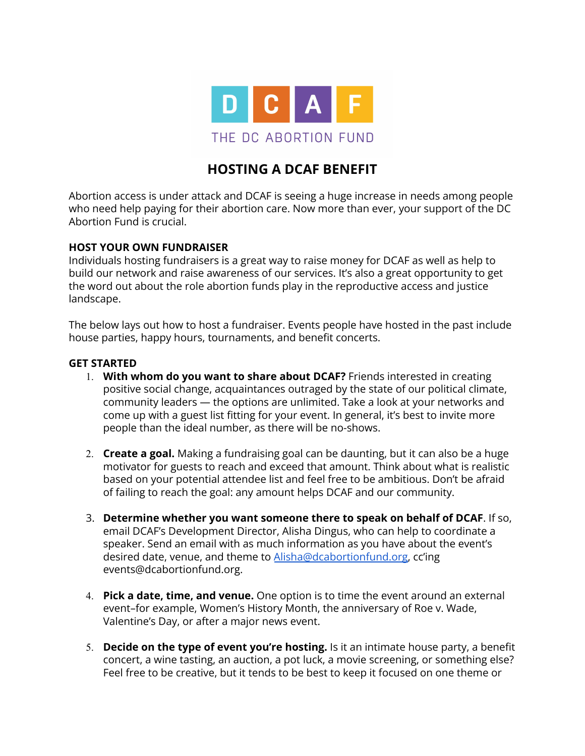

# **HOSTING A DCAF BENEFIT**

Abortion access is under attack and DCAF is seeing a huge increase in needs among people who need help paying for their abortion care. Now more than ever, your support of the DC Abortion Fund is crucial.

#### **HOST YOUR OWN FUNDRAISER**

Individuals hosting fundraisers is a great way to raise money for DCAF as well as help to build our network and raise awareness of our services. It's also a great opportunity to get the word out about the role abortion funds play in the reproductive access and justice landscape.

The below lays out how to host a fundraiser. Events people have hosted in the past include house parties, happy hours, tournaments, and benefit concerts.

#### **GET STARTED**

- 1. **With whom do you want to share about DCAF?** Friends interested in creating positive social change, acquaintances outraged by the state of our political climate, community leaders — the options are unlimited. Take a look at your networks and come up with a guest list fitting for your event. In general, it's best to invite more people than the ideal number, as there will be no-shows.
- 2. **Create a goal.** Making a fundraising goal can be daunting, but it can also be a huge motivator for guests to reach and exceed that amount. Think about what is realistic based on your potential attendee list and feel free to be ambitious. Don't be afraid of failing to reach the goal: any amount helps DCAF and our community.
- 3. **Determine whether you want someone there to speak on behalf of DCAF**. If so, email DCAF's Development Director, Alisha Dingus, who can help to coordinate a speaker. Send an email with as much information as you have about the event's desired date, venue, and theme to [Alisha@dcabortionfund.org,](mailto:Alisha@dcabortionfund.org) cc'ing events@dcabortionfund.org.
- 4. **Pick a date, time, and venue.** One option is to time the event around an external event–for example, Women's History Month, the anniversary of Roe v. Wade, Valentine's Day, or after a major news event.
- 5. **Decide on the type of event you're hosting.** Is it an intimate house party, a benefit concert, a wine tasting, an auction, a pot luck, a movie screening, or something else? Feel free to be creative, but it tends to be best to keep it focused on one theme or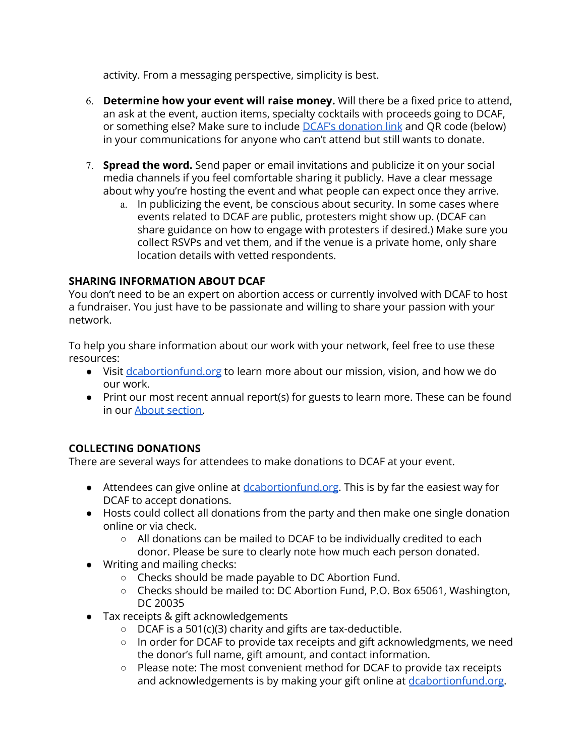activity. From a messaging perspective, simplicity is best.

- 6. **Determine how your event will raise money.** Will there be a fixed price to attend, an ask at the event, auction items, specialty cocktails with proceeds going to DCAF, or something else? Make sure to include DCAF's [donation](https://dcabortionfund.org/donate/) link and QR code (below) in your communications for anyone who can't attend but still wants to donate.
- 7. **Spread the word.** Send paper or email invitations and publicize it on your social media channels if you feel comfortable sharing it publicly. Have a clear message about why you're hosting the event and what people can expect once they arrive.
	- a. In publicizing the event, be conscious about security. In some cases where events related to DCAF are public, protesters might show up. (DCAF can share guidance on how to engage with protesters if desired.) Make sure you collect RSVPs and vet them, and if the venue is a private home, only share location details with vetted respondents.

## **SHARING INFORMATION ABOUT DCAF**

You don't need to be an expert on abortion access or currently involved with DCAF to host a fundraiser. You just have to be passionate and willing to share your passion with your network.

To help you share information about our work with your network, feel free to use these resources:

- Visit [dcabortionfund.org](http://dcabortionfund.org/) to learn more about our mission, vision, and how we do our work.
- Print our most recent annual report(s) for guests to learn more. These can be found in our About [section.](https://dcabortionfund.org/about/annual-report/)

## **COLLECTING DONATIONS**

There are several ways for attendees to make donations to DCAF at your event.

- Attendees can give online at [dcabortionfund.org](https://salsa3.salsalabs.com/o/2082/donate_page/donatenow). This is by far the easiest way for DCAF to accept donations.
- Hosts could collect all donations from the party and then make one single donation online or via check.
	- All donations can be mailed to DCAF to be individually credited to each donor. Please be sure to clearly note how much each person donated.
- Writing and mailing checks:
	- Checks should be made payable to DC Abortion Fund.
	- Checks should be mailed to: DC Abortion Fund, P.O. Box 65061, Washington, DC 20035
- Tax receipts & gift acknowledgements
	- $\circ$  DCAF is a 501(c)(3) charity and gifts are tax-deductible.
	- In order for DCAF to provide tax receipts and gift acknowledgments, we need the donor's full name, gift amount, and contact information.
	- Please note: The most convenient method for DCAF to provide tax receipts and acknowledgements is by making your gift online at [dcabortionfund.org.](http://dcabortionfund.org)